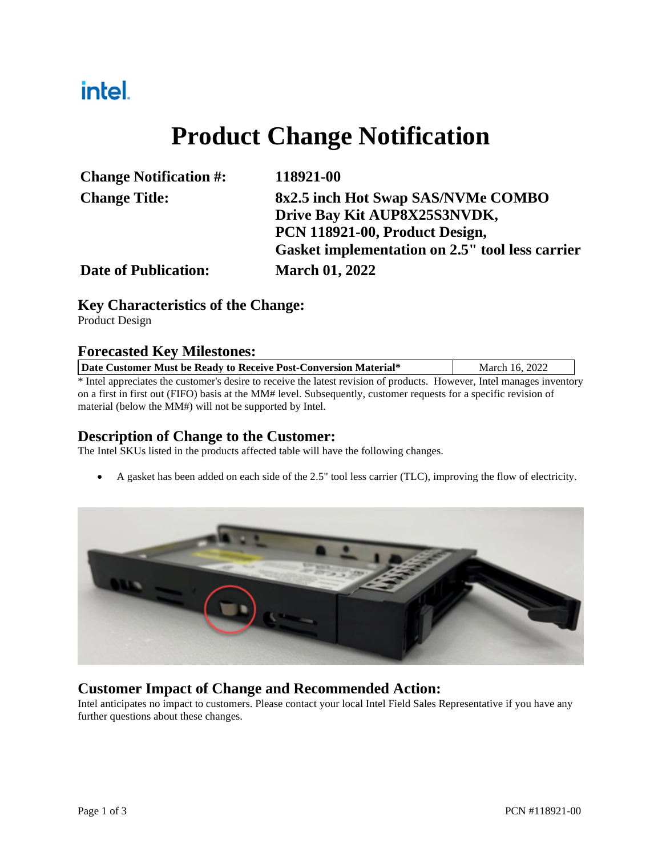## intel.

# **Product Change Notification**

| <b>Change Notification #:</b> | 118921-00                                       |  |  |
|-------------------------------|-------------------------------------------------|--|--|
| <b>Change Title:</b>          | 8x2.5 inch Hot Swap SAS/NVMe COMBO              |  |  |
|                               | Drive Bay Kit AUP8X25S3NVDK,                    |  |  |
|                               | PCN 118921-00, Product Design,                  |  |  |
|                               | Gasket implementation on 2.5" tool less carrier |  |  |
| <b>Date of Publication:</b>   | <b>March 01, 2022</b>                           |  |  |

#### **Key Characteristics of the Change:**

Product Design

#### **Forecasted Key Milestones:**

| Date Customer Must be Ready to Receive Post-Conversion Material*                                                       | March 16, 2022 |  |  |  |  |
|------------------------------------------------------------------------------------------------------------------------|----------------|--|--|--|--|
| * Intel appreciates the customer's desire to receive the latest revision of products. However, Intel manages inventory |                |  |  |  |  |
| on a first in first out (FIFO) basis at the MM# level. Subsequently, customer requests for a specific revision of      |                |  |  |  |  |
| material (below the MM#) will not be supported by Intel.                                                               |                |  |  |  |  |

#### **Description of Change to the Customer:**

The Intel SKUs listed in the products affected table will have the following changes.

A gasket has been added on each side of the 2.5" tool less carrier (TLC), improving the flow of electricity.



#### **Customer Impact of Change and Recommended Action:**

Intel anticipates no impact to customers. Please contact your local Intel Field Sales Representative if you have any further questions about these changes.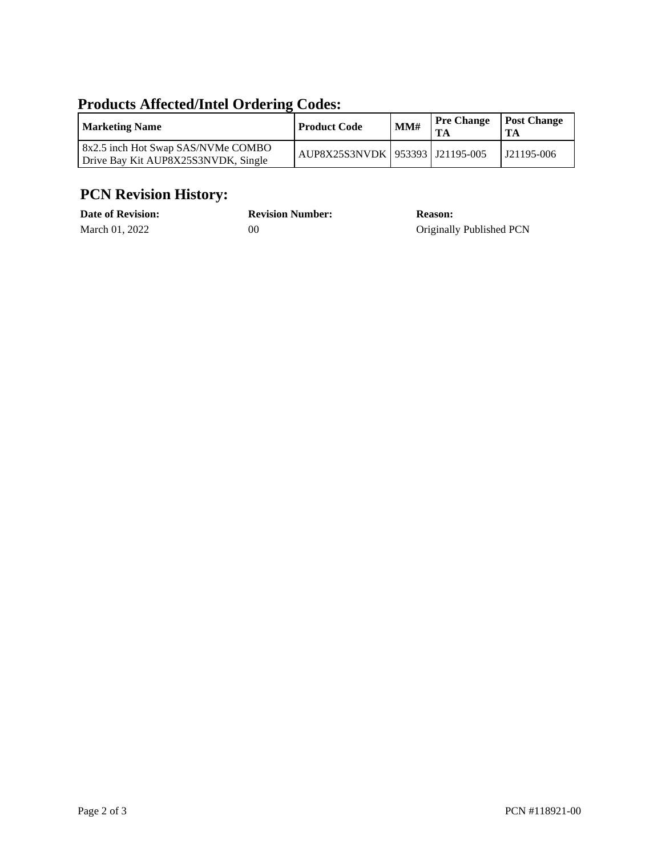### **Products Affected/Intel Ordering Codes:**

| <b>Marketing Name</b>                                                     | <b>Product Code</b>                 | MM# | <b>Pre Change</b> | <b>Post Change</b> |
|---------------------------------------------------------------------------|-------------------------------------|-----|-------------------|--------------------|
| 8x2.5 inch Hot Swap SAS/NVMe COMBO<br>Drive Bay Kit AUP8X25S3NVDK, Single | AUP8X25S3NVDK   953393   J21195-005 |     |                   | J21195-006         |

### **PCN Revision History:**

| <b>Date of Revision:</b> | <b>Revision Number:</b> | <b>Reason:</b>           |
|--------------------------|-------------------------|--------------------------|
| March 01, 2022           | 00                      | Originally Published PCN |